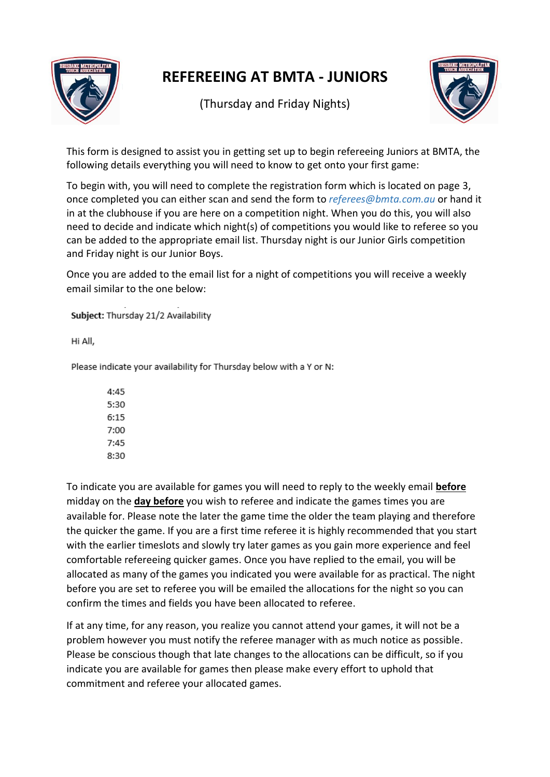

## **REFEREEING AT BMTA - JUNIORS**

(Thursday and Friday Nights)



This form is designed to assist you in getting set up to begin refereeing Juniors at BMTA, the following details everything you will need to know to get onto your first game:

To begin with, you will need to complete the registration form which is located on page 3, once completed you can either scan and send the form to *referees@bmta.com.au* or hand it in at the clubhouse if you are here on a competition night. When you do this, you will also need to decide and indicate which night(s) of competitions you would like to referee so you can be added to the appropriate email list. Thursday night is our Junior Girls competition and Friday night is our Junior Boys.

Once you are added to the email list for a night of competitions you will receive a weekly email similar to the one below:

Subject: Thursday 21/2 Availability

Hi All,

Please indicate your availability for Thursday below with a Y or N:

 $4:45$ 5:30  $6:15$ 7:00 7:45 8:30

To indicate you are available for games you will need to reply to the weekly email **before** midday on the **day before** you wish to referee and indicate the games times you are available for. Please note the later the game time the older the team playing and therefore the quicker the game. If you are a first time referee it is highly recommended that you start with the earlier timeslots and slowly try later games as you gain more experience and feel comfortable refereeing quicker games. Once you have replied to the email, you will be allocated as many of the games you indicated you were available for as practical. The night before you are set to referee you will be emailed the allocations for the night so you can confirm the times and fields you have been allocated to referee.

If at any time, for any reason, you realize you cannot attend your games, it will not be a problem however you must notify the referee manager with as much notice as possible. Please be conscious though that late changes to the allocations can be difficult, so if you indicate you are available for games then please make every effort to uphold that commitment and referee your allocated games.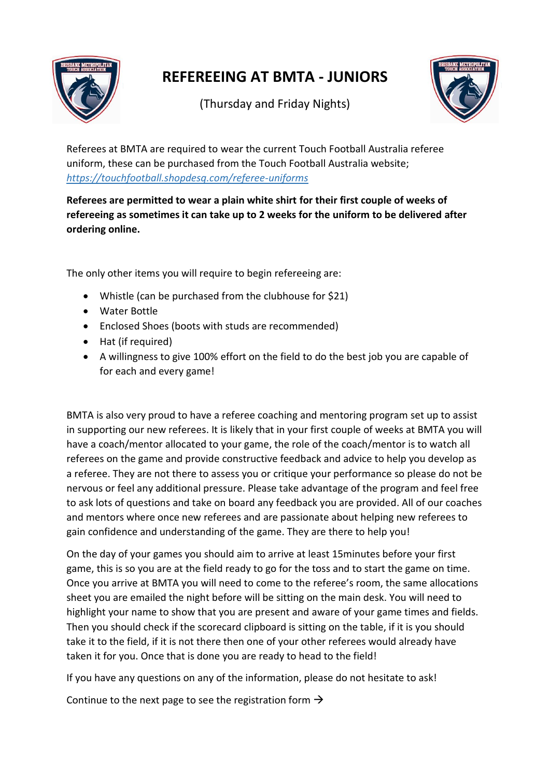

## **REFEREEING AT BMTA - JUNIORS**

(Thursday and Friday Nights)



Referees at BMTA are required to wear the current Touch Football Australia referee uniform, these can be purchased from the Touch Football Australia website; *<https://touchfootball.shopdesq.com/referee-uniforms>*

**Referees are permitted to wear a plain white shirt for their first couple of weeks of refereeing as sometimes it can take up to 2 weeks for the uniform to be delivered after ordering online.** 

The only other items you will require to begin refereeing are:

- Whistle (can be purchased from the clubhouse for \$21)
- Water Bottle
- Enclosed Shoes (boots with studs are recommended)
- Hat (if required)
- A willingness to give 100% effort on the field to do the best job you are capable of for each and every game!

BMTA is also very proud to have a referee coaching and mentoring program set up to assist in supporting our new referees. It is likely that in your first couple of weeks at BMTA you will have a coach/mentor allocated to your game, the role of the coach/mentor is to watch all referees on the game and provide constructive feedback and advice to help you develop as a referee. They are not there to assess you or critique your performance so please do not be nervous or feel any additional pressure. Please take advantage of the program and feel free to ask lots of questions and take on board any feedback you are provided. All of our coaches and mentors where once new referees and are passionate about helping new referees to gain confidence and understanding of the game. They are there to help you!

On the day of your games you should aim to arrive at least 15minutes before your first game, this is so you are at the field ready to go for the toss and to start the game on time. Once you arrive at BMTA you will need to come to the referee's room, the same allocations sheet you are emailed the night before will be sitting on the main desk. You will need to highlight your name to show that you are present and aware of your game times and fields. Then you should check if the scorecard clipboard is sitting on the table, if it is you should take it to the field, if it is not there then one of your other referees would already have taken it for you. Once that is done you are ready to head to the field!

If you have any questions on any of the information, please do not hesitate to ask!

Continue to the next page to see the registration form  $\rightarrow$